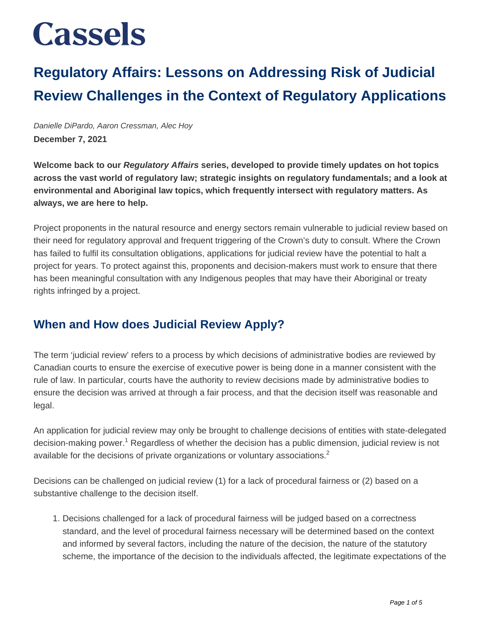### **Regulatory Affairs: Lessons on Addressing Risk of Judicial Review Challenges in the Context of Regulatory Applications**

Danielle DiPardo, Aaron Cressman, Alec Hoy **December 7, 2021**

**Welcome back to our Regulatory Affairs series, developed to provide timely updates on hot topics across the vast world of regulatory law; strategic insights on regulatory fundamentals; and a look at environmental and Aboriginal law topics, which frequently intersect with regulatory matters. As always, we are here to help.**

Project proponents in the natural resource and energy sectors remain vulnerable to judicial review based on their need for regulatory approval and frequent triggering of the Crown's duty to consult. Where the Crown has failed to fulfil its consultation obligations, applications for judicial review have the potential to halt a project for years. To protect against this, proponents and decision-makers must work to ensure that there has been meaningful consultation with any Indigenous peoples that may have their Aboriginal or treaty rights infringed by a project.

### **When and How does Judicial Review Apply?**

The term 'judicial review' refers to a process by which decisions of administrative bodies are reviewed by Canadian courts to ensure the exercise of executive power is being done in a manner consistent with the rule of law. In particular, courts have the authority to review decisions made by administrative bodies to ensure the decision was arrived at through a fair process, and that the decision itself was reasonable and legal.

An application for judicial review may only be brought to challenge decisions of entities with state-delegated decision-making power.<sup>1</sup> Regardless of whether the decision has a public dimension, judicial review is not available for the decisions of private organizations or voluntary associations. $^2$ 

Decisions can be challenged on judicial review (1) for a lack of procedural fairness or (2) based on a substantive challenge to the decision itself.

1. Decisions challenged for a lack of procedural fairness will be judged based on a correctness standard, and the level of procedural fairness necessary will be determined based on the context and informed by several factors, including the nature of the decision, the nature of the statutory scheme, the importance of the decision to the individuals affected, the legitimate expectations of the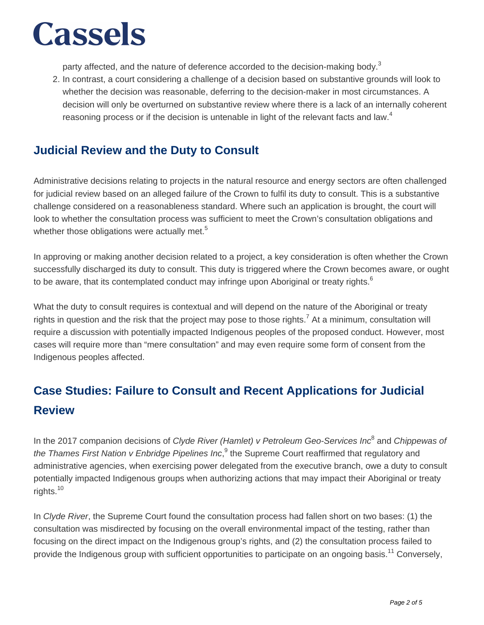party affected, and the nature of deference accorded to the decision-making body.<sup>3</sup>

2. In contrast, a court considering a challenge of a decision based on substantive grounds will look to whether the decision was reasonable, deferring to the decision-maker in most circumstances. A decision will only be overturned on substantive review where there is a lack of an internally coherent reasoning process or if the decision is untenable in light of the relevant facts and law.<sup>4</sup>

#### **Judicial Review and the Duty to Consult**

Administrative decisions relating to projects in the natural resource and energy sectors are often challenged for judicial review based on an alleged failure of the Crown to fulfil its duty to consult. This is a substantive challenge considered on a reasonableness standard. Where such an application is brought, the court will look to whether the consultation process was sufficient to meet the Crown's consultation obligations and whether those obligations were actually met.<sup>5</sup>

In approving or making another decision related to a project, a key consideration is often whether the Crown successfully discharged its duty to consult. This duty is triggered where the Crown becomes aware, or ought to be aware, that its contemplated conduct may infringe upon Aboriginal or treaty rights.<sup>6</sup>

What the duty to consult requires is contextual and will depend on the nature of the Aboriginal or treaty rights in question and the risk that the project may pose to those rights.<sup>7</sup> At a minimum, consultation will require a discussion with potentially impacted Indigenous peoples of the proposed conduct. However, most cases will require more than "mere consultation" and may even require some form of consent from the Indigenous peoples affected.

### **Case Studies: Failure to Consult and Recent Applications for Judicial Review**

In the 2017 companion decisions of Clyde River (Hamlet) v Petroleum Geo-Services Inc<sup>8</sup> and Chippewas of the Thames First Nation v Enbridge Pipelines Inc,<sup>9</sup> the Supreme Court reaffirmed that regulatory and administrative agencies, when exercising power delegated from the executive branch, owe a duty to consult potentially impacted Indigenous groups when authorizing actions that may impact their Aboriginal or treaty rights.<sup>10</sup>

In Clyde River, the Supreme Court found the consultation process had fallen short on two bases: (1) the consultation was misdirected by focusing on the overall environmental impact of the testing, rather than focusing on the direct impact on the Indigenous group's rights, and (2) the consultation process failed to provide the Indigenous group with sufficient opportunities to participate on an ongoing basis.<sup>11</sup> Conversely,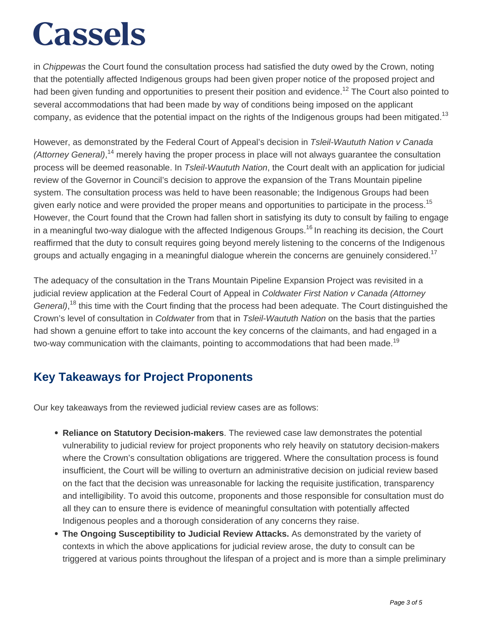in Chippewas the Court found the consultation process had satisfied the duty owed by the Crown, noting that the potentially affected Indigenous groups had been given proper notice of the proposed project and had been given funding and opportunities to present their position and evidence.<sup>12</sup> The Court also pointed to several accommodations that had been made by way of conditions being imposed on the applicant company, as evidence that the potential impact on the rights of the Indigenous groups had been mitigated.<sup>13</sup>

However, as demonstrated by the Federal Court of Appeal's decision in Tsleil-Waututh Nation v Canada (Attorney General),<sup>14</sup> merely having the proper process in place will not always guarantee the consultation process will be deemed reasonable. In Tsleil-Waututh Nation, the Court dealt with an application for judicial review of the Governor in Council's decision to approve the expansion of the Trans Mountain pipeline system. The consultation process was held to have been reasonable; the Indigenous Groups had been given early notice and were provided the proper means and opportunities to participate in the process.<sup>15</sup> However, the Court found that the Crown had fallen short in satisfying its duty to consult by failing to engage in a meaningful two-way dialogue with the affected Indigenous Groups.<sup>16</sup> In reaching its decision, the Court reaffirmed that the duty to consult requires going beyond merely listening to the concerns of the Indigenous groups and actually engaging in a meaningful dialogue wherein the concerns are genuinely considered.<sup>17</sup>

The adequacy of the consultation in the Trans Mountain Pipeline Expansion Project was revisited in a judicial review application at the Federal Court of Appeal in Coldwater First Nation v Canada (Attorney General),<sup>18</sup> this time with the Court finding that the process had been adequate. The Court distinguished the Crown's level of consultation in *Coldwater* from that in *Tsleil-Waututh Nation* on the basis that the parties had shown a genuine effort to take into account the key concerns of the claimants, and had engaged in a two-way communication with the claimants, pointing to accommodations that had been made.<sup>19</sup>

### **Key Takeaways for Project Proponents**

Our key takeaways from the reviewed judicial review cases are as follows:

- **Reliance on Statutory Decision-makers**. The reviewed case law demonstrates the potential vulnerability to judicial review for project proponents who rely heavily on statutory decision-makers where the Crown's consultation obligations are triggered. Where the consultation process is found insufficient, the Court will be willing to overturn an administrative decision on judicial review based on the fact that the decision was unreasonable for lacking the requisite justification, transparency and intelligibility. To avoid this outcome, proponents and those responsible for consultation must do all they can to ensure there is evidence of meaningful consultation with potentially affected Indigenous peoples and a thorough consideration of any concerns they raise.
- **The Ongoing Susceptibility to Judicial Review Attacks.** As demonstrated by the variety of contexts in which the above applications for judicial review arose, the duty to consult can be triggered at various points throughout the lifespan of a project and is more than a simple preliminary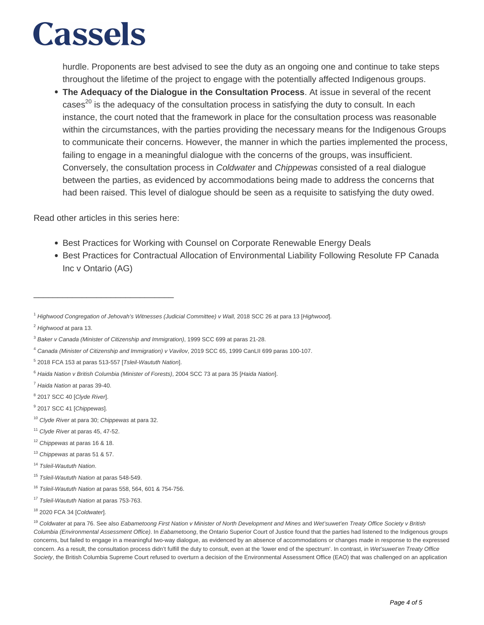hurdle. Proponents are best advised to see the duty as an ongoing one and continue to take steps throughout the lifetime of the project to engage with the potentially affected Indigenous groups.

**The Adequacy of the Dialogue in the Consultation Process**. At issue in several of the recent cases<sup>20</sup> is the adequacy of the consultation process in satisfying the duty to consult. In each instance, the court noted that the framework in place for the consultation process was reasonable within the circumstances, with the parties providing the necessary means for the Indigenous Groups to communicate their concerns. However, the manner in which the parties implemented the process, failing to engage in a meaningful dialogue with the concerns of the groups, was insufficient. Conversely, the consultation process in Coldwater and Chippewas consisted of a real dialogue between the parties, as evidenced by accommodations being made to address the concerns that had been raised. This level of dialogue should be seen as a requisite to satisfying the duty owed.

Read other articles in this series here:

\_\_\_\_\_\_\_\_\_\_\_\_\_\_\_\_\_\_\_\_\_\_\_\_\_\_\_\_\_

- Best Practices for Working with Counsel on Corporate Renewable Energy Deals
- Best Practices for Contractual Allocation of Environmental Liability Following Resolute FP Canada Inc v Ontario (AG)

<sup>8</sup> 2017 SCC 40 [Clyde River].

- <sup>11</sup> Clyde River at paras 45, 47-52.
- <sup>12</sup> Chippewas at paras 16 & 18.
- <sup>13</sup> Chippewas at paras 51 & 57.
- <sup>14</sup> Tsleil-Waututh Nation.

<sup>&</sup>lt;sup>1</sup> Highwood Congregation of Jehovah's Witnesses (Judicial Committee) v Wall, 2018 SCC 26 at para 13 [Highwood].

<sup>&</sup>lt;sup>2</sup> Highwood at para 13.

<sup>&</sup>lt;sup>3</sup> Baker v Canada (Minister of Citizenship and Immigration), 1999 SCC 699 at paras 21-28.

<sup>4</sup> Canada (Minister of Citizenship and Immigration) v Vavilov, 2019 SCC 65, 1999 CanLII 699 paras 100-107.

<sup>&</sup>lt;sup>5</sup> 2018 FCA 153 at paras 513-557 [Tsleil-Waututh Nation].

<sup>&</sup>lt;sup>6</sup> Haida Nation v British Columbia (Minister of Forests), 2004 SCC 73 at para 35 [Haida Nation].

<sup>7</sup> Haida Nation at paras 39-40.

<sup>&</sup>lt;sup>9</sup> 2017 SCC 41 [Chippewas].

<sup>&</sup>lt;sup>10</sup> Clyde River at para 30; Chippewas at para 32.

<sup>&</sup>lt;sup>15</sup> Tsleil-Waututh Nation at paras 548-549.

<sup>&</sup>lt;sup>16</sup> Tsleil-Waututh Nation at paras 558, 564, 601 & 754-756.

<sup>&</sup>lt;sup>17</sup> Tsleil-Waututh Nation at paras 753-763.

<sup>18 2020</sup> FCA 34 [Coldwater].

<sup>&</sup>lt;sup>19</sup> Coldwater at para 76. See also Eabametoong First Nation v Minister of North Development and Mines and Wet'suwet'en Treaty Office Society v British Columbia (Environmental Assessment Office). In Eabametoong, the Ontario Superior Court of Justice found that the parties had listened to the Indigenous groups concerns, but failed to engage in a meaningful two-way dialogue, as evidenced by an absence of accommodations or changes made in response to the expressed concern. As a result, the consultation process didn't fulfill the duty to consult, even at the 'lower end of the spectrum'. In contrast, in Wet'suwet'en Treaty Office Society, the British Columbia Supreme Court refused to overturn a decision of the Environmental Assessment Office (EAO) that was challenged on an application